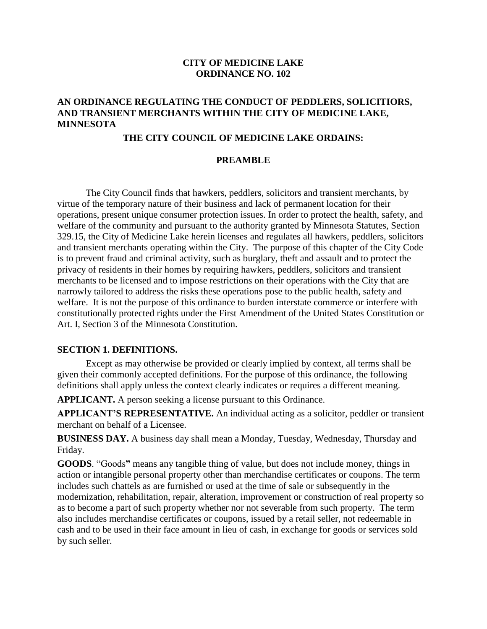#### **CITY OF MEDICINE LAKE ORDINANCE NO. 102**

#### **AN ORDINANCE REGULATING THE CONDUCT OF PEDDLERS, SOLICITIORS, AND TRANSIENT MERCHANTS WITHIN THE CITY OF MEDICINE LAKE, MINNESOTA**

#### **THE CITY COUNCIL OF MEDICINE LAKE ORDAINS:**

#### **PREAMBLE**

The City Council finds that hawkers, peddlers, solicitors and transient merchants, by virtue of the temporary nature of their business and lack of permanent location for their operations, present unique consumer protection issues. In order to protect the health, safety, and welfare of the community and pursuant to the authority granted by Minnesota Statutes, Section 329.15, the City of Medicine Lake herein licenses and regulates all hawkers, peddlers, solicitors and transient merchants operating within the City. The purpose of this chapter of the City Code is to prevent fraud and criminal activity, such as burglary, theft and assault and to protect the privacy of residents in their homes by requiring hawkers, peddlers, solicitors and transient merchants to be licensed and to impose restrictions on their operations with the City that are narrowly tailored to address the risks these operations pose to the public health, safety and welfare. It is not the purpose of this ordinance to burden interstate commerce or interfere with constitutionally protected rights under the First Amendment of the United States Constitution or Art. I, Section 3 of the Minnesota Constitution.

#### **SECTION 1. DEFINITIONS.**

Except as may otherwise be provided or clearly implied by context, all terms shall be given their commonly accepted definitions. For the purpose of this ordinance, the following definitions shall apply unless the context clearly indicates or requires a different meaning.

**APPLICANT.** A person seeking a license pursuant to this Ordinance.

**APPLICANT'S REPRESENTATIVE.** An individual acting as a solicitor, peddler or transient merchant on behalf of a Licensee.

**BUSINESS DAY.** A business day shall mean a Monday, Tuesday, Wednesday, Thursday and Friday.

**GOODS**. "Goods**"** means any tangible thing of value, but does not include money, things in action or intangible personal property other than merchandise certificates or coupons. The term includes such chattels as are furnished or used at the time of sale or subsequently in the modernization, rehabilitation, repair, alteration, improvement or construction of real property so as to become a part of such property whether nor not severable from such property. The term also includes merchandise certificates or coupons, issued by a retail seller, not redeemable in cash and to be used in their face amount in lieu of cash, in exchange for goods or services sold by such seller.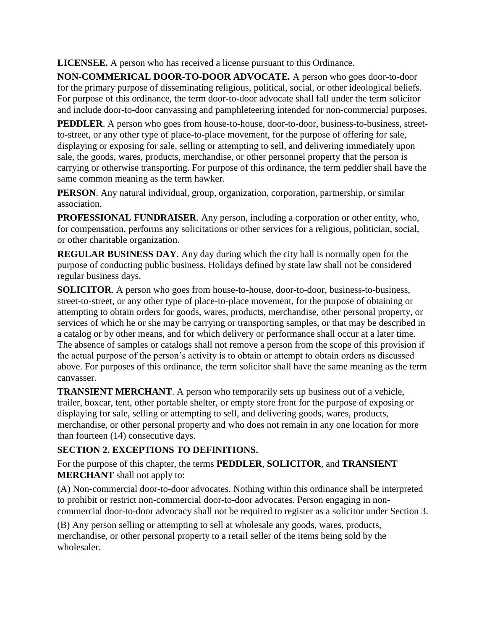**LICENSEE.** A person who has received a license pursuant to this Ordinance.

**NON-COMMERICAL DOOR-TO-DOOR ADVOCATE***.* A person who goes door-to-door for the primary purpose of disseminating religious, political, social, or other ideological beliefs. For purpose of this ordinance, the term door-to-door advocate shall fall under the term solicitor and include door-to-door canvassing and pamphleteering intended for non-commercial purposes.

**PEDDLER**. A person who goes from house-to-house, door-to-door, business-to-business, streetto-street, or any other type of place-to-place movement, for the purpose of offering for sale, displaying or exposing for sale, selling or attempting to sell, and delivering immediately upon sale, the goods, wares, products, merchandise, or other personnel property that the person is carrying or otherwise transporting. For purpose of this ordinance, the term peddler shall have the same common meaning as the term hawker.

**PERSON**. Any natural individual, group, organization, corporation, partnership, or similar association.

**PROFESSIONAL FUNDRAISER**. Any person, including a corporation or other entity, who, for compensation, performs any solicitations or other services for a religious, politician, social, or other charitable organization.

**REGULAR BUSINESS DAY**. Any day during which the city hall is normally open for the purpose of conducting public business. Holidays defined by state law shall not be considered regular business days.

**SOLICITOR**. A person who goes from house-to-house, door-to-door, business-to-business, street-to-street, or any other type of place-to-place movement, for the purpose of obtaining or attempting to obtain orders for goods, wares, products, merchandise, other personal property, or services of which he or she may be carrying or transporting samples, or that may be described in a catalog or by other means, and for which delivery or performance shall occur at a later time. The absence of samples or catalogs shall not remove a person from the scope of this provision if the actual purpose of the person's activity is to obtain or attempt to obtain orders as discussed above. For purposes of this ordinance, the term solicitor shall have the same meaning as the term canvasser.

**TRANSIENT MERCHANT**. A person who temporarily sets up business out of a vehicle, trailer, boxcar, tent, other portable shelter, or empty store front for the purpose of exposing or displaying for sale, selling or attempting to sell, and delivering goods, wares, products, merchandise, or other personal property and who does not remain in any one location for more than fourteen (14) consecutive days.

# **SECTION 2. EXCEPTIONS TO DEFINITIONS.**

For the purpose of this chapter, the terms **PEDDLER**, **SOLICITOR**, and **TRANSIENT MERCHANT** shall not apply to:

(A) Non-commercial door-to-door advocates. Nothing within this ordinance shall be interpreted to prohibit or restrict non-commercial door-to-door advocates. Person engaging in noncommercial door-to-door advocacy shall not be required to register as a solicitor under Section 3.

(B) Any person selling or attempting to sell at wholesale any goods, wares, products, merchandise, or other personal property to a retail seller of the items being sold by the wholesaler.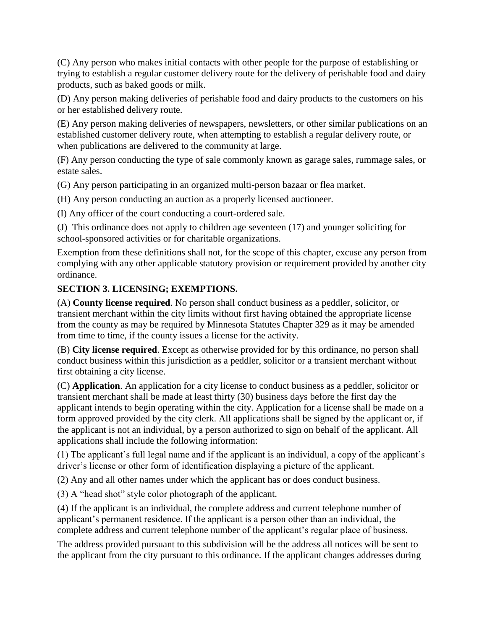(C) Any person who makes initial contacts with other people for the purpose of establishing or trying to establish a regular customer delivery route for the delivery of perishable food and dairy products, such as baked goods or milk.

(D) Any person making deliveries of perishable food and dairy products to the customers on his or her established delivery route.

(E) Any person making deliveries of newspapers, newsletters, or other similar publications on an established customer delivery route, when attempting to establish a regular delivery route, or when publications are delivered to the community at large.

(F) Any person conducting the type of sale commonly known as garage sales, rummage sales, or estate sales.

(G) Any person participating in an organized multi-person bazaar or flea market.

(H) Any person conducting an auction as a properly licensed auctioneer.

(I) Any officer of the court conducting a court-ordered sale.

(J) This ordinance does not apply to children age seventeen (17) and younger soliciting for school-sponsored activities or for charitable organizations.

Exemption from these definitions shall not, for the scope of this chapter, excuse any person from complying with any other applicable statutory provision or requirement provided by another city ordinance.

## **SECTION 3. LICENSING; EXEMPTIONS.**

(A) **County license required**. No person shall conduct business as a peddler, solicitor, or transient merchant within the city limits without first having obtained the appropriate license from the county as may be required by Minnesota Statutes Chapter 329 as it may be amended from time to time, if the county issues a license for the activity.

(B) **City license required**. Except as otherwise provided for by this ordinance, no person shall conduct business within this jurisdiction as a peddler, solicitor or a transient merchant without first obtaining a city license.

(C) **Application**. An application for a city license to conduct business as a peddler, solicitor or transient merchant shall be made at least thirty (30) business days before the first day the applicant intends to begin operating within the city. Application for a license shall be made on a form approved provided by the city clerk. All applications shall be signed by the applicant or, if the applicant is not an individual, by a person authorized to sign on behalf of the applicant. All applications shall include the following information:

(1) The applicant's full legal name and if the applicant is an individual, a copy of the applicant's driver's license or other form of identification displaying a picture of the applicant.

(2) Any and all other names under which the applicant has or does conduct business.

(3) A "head shot" style color photograph of the applicant.

(4) If the applicant is an individual, the complete address and current telephone number of applicant's permanent residence. If the applicant is a person other than an individual, the complete address and current telephone number of the applicant's regular place of business.

The address provided pursuant to this subdivision will be the address all notices will be sent to the applicant from the city pursuant to this ordinance. If the applicant changes addresses during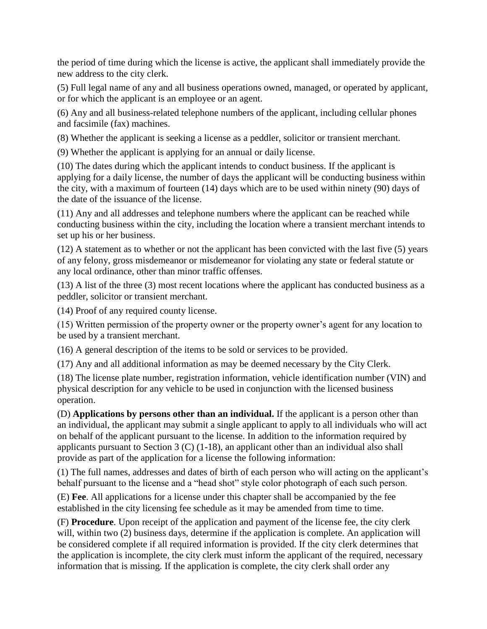the period of time during which the license is active, the applicant shall immediately provide the new address to the city clerk.

(5) Full legal name of any and all business operations owned, managed, or operated by applicant, or for which the applicant is an employee or an agent.

(6) Any and all business-related telephone numbers of the applicant, including cellular phones and facsimile (fax) machines.

(8) Whether the applicant is seeking a license as a peddler, solicitor or transient merchant.

(9) Whether the applicant is applying for an annual or daily license.

(10) The dates during which the applicant intends to conduct business. If the applicant is applying for a daily license, the number of days the applicant will be conducting business within the city, with a maximum of fourteen (14) days which are to be used within ninety (90) days of the date of the issuance of the license.

(11) Any and all addresses and telephone numbers where the applicant can be reached while conducting business within the city, including the location where a transient merchant intends to set up his or her business.

(12) A statement as to whether or not the applicant has been convicted with the last five (5) years of any felony, gross misdemeanor or misdemeanor for violating any state or federal statute or any local ordinance, other than minor traffic offenses.

(13) A list of the three (3) most recent locations where the applicant has conducted business as a peddler, solicitor or transient merchant.

(14) Proof of any required county license.

(15) Written permission of the property owner or the property owner's agent for any location to be used by a transient merchant.

(16) A general description of the items to be sold or services to be provided.

(17) Any and all additional information as may be deemed necessary by the City Clerk.

(18) The license plate number, registration information, vehicle identification number (VIN) and physical description for any vehicle to be used in conjunction with the licensed business operation.

(D) **Applications by persons other than an individual.** If the applicant is a person other than an individual, the applicant may submit a single applicant to apply to all individuals who will act on behalf of the applicant pursuant to the license. In addition to the information required by applicants pursuant to Section 3 (C)  $(1-18)$ , an applicant other than an individual also shall provide as part of the application for a license the following information:

(1) The full names, addresses and dates of birth of each person who will acting on the applicant's behalf pursuant to the license and a "head shot" style color photograph of each such person.

(E) **Fee**. All applications for a license under this chapter shall be accompanied by the fee established in the city licensing fee schedule as it may be amended from time to time.

(F) **Procedure**. Upon receipt of the application and payment of the license fee, the city clerk will, within two (2) business days, determine if the application is complete. An application will be considered complete if all required information is provided. If the city clerk determines that the application is incomplete, the city clerk must inform the applicant of the required, necessary information that is missing. If the application is complete, the city clerk shall order any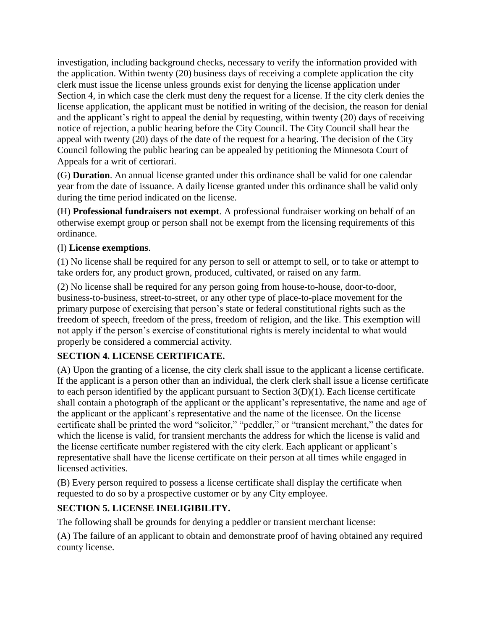investigation, including background checks, necessary to verify the information provided with the application. Within twenty (20) business days of receiving a complete application the city clerk must issue the license unless grounds exist for denying the license application under Section 4, in which case the clerk must deny the request for a license. If the city clerk denies the license application, the applicant must be notified in writing of the decision, the reason for denial and the applicant's right to appeal the denial by requesting, within twenty (20) days of receiving notice of rejection, a public hearing before the City Council. The City Council shall hear the appeal with twenty (20) days of the date of the request for a hearing. The decision of the City Council following the public hearing can be appealed by petitioning the Minnesota Court of Appeals for a writ of certiorari.

(G) **Duration**. An annual license granted under this ordinance shall be valid for one calendar year from the date of issuance. A daily license granted under this ordinance shall be valid only during the time period indicated on the license.

(H) **Professional fundraisers not exempt**. A professional fundraiser working on behalf of an otherwise exempt group or person shall not be exempt from the licensing requirements of this ordinance.

#### (I) **License exemptions**.

(1) No license shall be required for any person to sell or attempt to sell, or to take or attempt to take orders for, any product grown, produced, cultivated, or raised on any farm.

(2) No license shall be required for any person going from house-to-house, door-to-door, business-to-business, street-to-street, or any other type of place-to-place movement for the primary purpose of exercising that person's state or federal constitutional rights such as the freedom of speech, freedom of the press, freedom of religion, and the like. This exemption will not apply if the person's exercise of constitutional rights is merely incidental to what would properly be considered a commercial activity.

## **SECTION 4. LICENSE CERTIFICATE.**

(A) Upon the granting of a license, the city clerk shall issue to the applicant a license certificate. If the applicant is a person other than an individual, the clerk clerk shall issue a license certificate to each person identified by the applicant pursuant to Section 3(D)(1). Each license certificate shall contain a photograph of the applicant or the applicant's representative, the name and age of the applicant or the applicant's representative and the name of the licensee. On the license certificate shall be printed the word "solicitor," "peddler," or "transient merchant," the dates for which the license is valid, for transient merchants the address for which the license is valid and the license certificate number registered with the city clerk. Each applicant or applicant's representative shall have the license certificate on their person at all times while engaged in licensed activities.

(B) Every person required to possess a license certificate shall display the certificate when requested to do so by a prospective customer or by any City employee.

## **SECTION 5. LICENSE INELIGIBILITY.**

The following shall be grounds for denying a peddler or transient merchant license:

(A) The failure of an applicant to obtain and demonstrate proof of having obtained any required county license.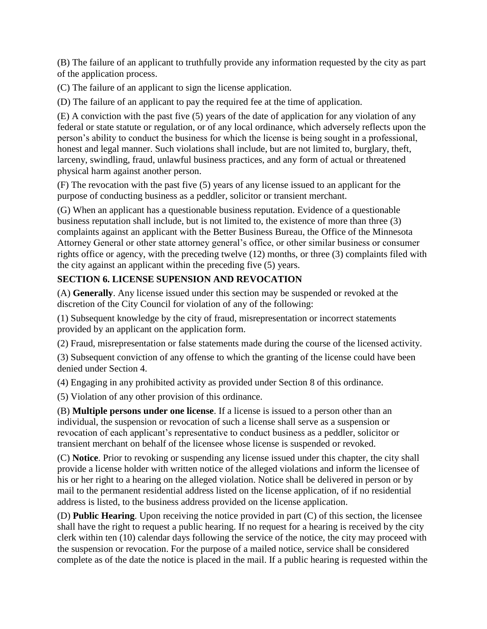(B) The failure of an applicant to truthfully provide any information requested by the city as part of the application process.

(C) The failure of an applicant to sign the license application.

(D) The failure of an applicant to pay the required fee at the time of application.

(E) A conviction with the past five (5) years of the date of application for any violation of any federal or state statute or regulation, or of any local ordinance, which adversely reflects upon the person's ability to conduct the business for which the license is being sought in a professional, honest and legal manner. Such violations shall include, but are not limited to, burglary, theft, larceny, swindling, fraud, unlawful business practices, and any form of actual or threatened physical harm against another person.

(F) The revocation with the past five (5) years of any license issued to an applicant for the purpose of conducting business as a peddler, solicitor or transient merchant.

(G) When an applicant has a questionable business reputation. Evidence of a questionable business reputation shall include, but is not limited to, the existence of more than three (3) complaints against an applicant with the Better Business Bureau, the Office of the Minnesota Attorney General or other state attorney general's office, or other similar business or consumer rights office or agency, with the preceding twelve (12) months, or three (3) complaints filed with the city against an applicant within the preceding five (5) years.

## **SECTION 6. LICENSE SUPENSION AND REVOCATION**

(A) **Generally**. Any license issued under this section may be suspended or revoked at the discretion of the City Council for violation of any of the following:

(1) Subsequent knowledge by the city of fraud, misrepresentation or incorrect statements provided by an applicant on the application form.

(2) Fraud, misrepresentation or false statements made during the course of the licensed activity.

(3) Subsequent conviction of any offense to which the granting of the license could have been denied under Section 4.

(4) Engaging in any prohibited activity as provided under Section 8 of this ordinance.

(5) Violation of any other provision of this ordinance.

(B) **Multiple persons under one license**. If a license is issued to a person other than an individual, the suspension or revocation of such a license shall serve as a suspension or revocation of each applicant's representative to conduct business as a peddler, solicitor or transient merchant on behalf of the licensee whose license is suspended or revoked.

(C) **Notice**. Prior to revoking or suspending any license issued under this chapter, the city shall provide a license holder with written notice of the alleged violations and inform the licensee of his or her right to a hearing on the alleged violation. Notice shall be delivered in person or by mail to the permanent residential address listed on the license application, of if no residential address is listed, to the business address provided on the license application.

(D) **Public Hearing**. Upon receiving the notice provided in part (C) of this section, the licensee shall have the right to request a public hearing. If no request for a hearing is received by the city clerk within ten (10) calendar days following the service of the notice, the city may proceed with the suspension or revocation. For the purpose of a mailed notice, service shall be considered complete as of the date the notice is placed in the mail. If a public hearing is requested within the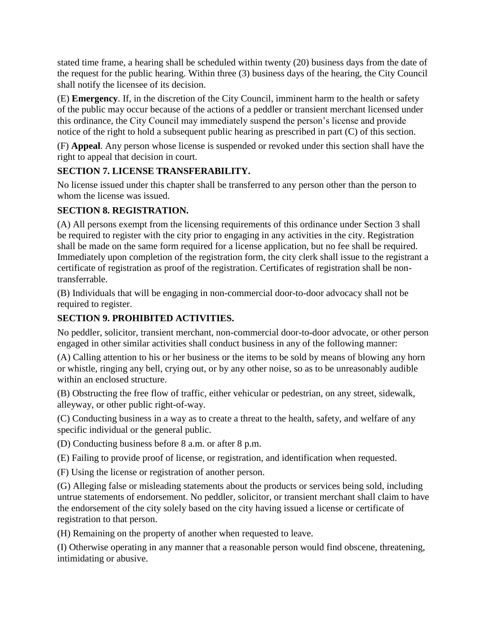stated time frame, a hearing shall be scheduled within twenty (20) business days from the date of the request for the public hearing. Within three (3) business days of the hearing, the City Council shall notify the licensee of its decision.

(E) **Emergency**. If, in the discretion of the City Council, imminent harm to the health or safety of the public may occur because of the actions of a peddler or transient merchant licensed under this ordinance, the City Council may immediately suspend the person's license and provide notice of the right to hold a subsequent public hearing as prescribed in part (C) of this section.

(F) **Appeal**. Any person whose license is suspended or revoked under this section shall have the right to appeal that decision in court.

# **SECTION 7. LICENSE TRANSFERABILITY.**

No license issued under this chapter shall be transferred to any person other than the person to whom the license was issued.

# **SECTION 8. REGISTRATION.**

(A) All persons exempt from the licensing requirements of this ordinance under Section 3 shall be required to register with the city prior to engaging in any activities in the city. Registration shall be made on the same form required for a license application, but no fee shall be required. Immediately upon completion of the registration form, the city clerk shall issue to the registrant a certificate of registration as proof of the registration. Certificates of registration shall be nontransferrable.

(B) Individuals that will be engaging in non-commercial door-to-door advocacy shall not be required to register.

# **SECTION 9. PROHIBITED ACTIVITIES.**

No peddler, solicitor, transient merchant, non-commercial door-to-door advocate, or other person engaged in other similar activities shall conduct business in any of the following manner:

(A) Calling attention to his or her business or the items to be sold by means of blowing any horn or whistle, ringing any bell, crying out, or by any other noise, so as to be unreasonably audible within an enclosed structure.

(B) Obstructing the free flow of traffic, either vehicular or pedestrian, on any street, sidewalk, alleyway, or other public right-of-way.

(C) Conducting business in a way as to create a threat to the health, safety, and welfare of any specific individual or the general public.

(D) Conducting business before 8 a.m. or after 8 p.m.

(E) Failing to provide proof of license, or registration, and identification when requested.

(F) Using the license or registration of another person.

(G) Alleging false or misleading statements about the products or services being sold, including untrue statements of endorsement. No peddler, solicitor, or transient merchant shall claim to have the endorsement of the city solely based on the city having issued a license or certificate of registration to that person.

(H) Remaining on the property of another when requested to leave.

(I) Otherwise operating in any manner that a reasonable person would find obscene, threatening, intimidating or abusive.